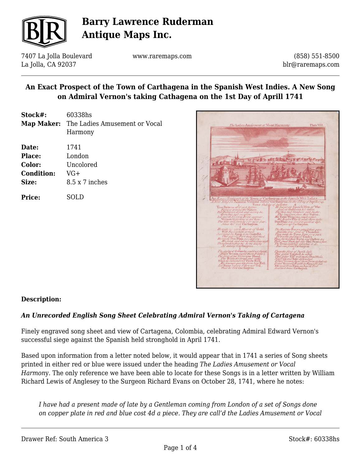

7407 La Jolla Boulevard La Jolla, CA 92037

www.raremaps.com

(858) 551-8500 blr@raremaps.com

### **An Exact Prospect of the Town of Carthagena in the Spanish West Indies. A New Song on Admiral Vernon's taking Cathagena on the 1st Day of Aprill 1741**

| 60338hs                                  |
|------------------------------------------|
| Map Maker: The Ladies Amusement or Vocal |
| Harmony                                  |
| 1741                                     |
| London                                   |
| Uncolored                                |
| VG+                                      |
| $8.5 \times 7$ inches                    |
| SOLD.                                    |
|                                          |



### **Description:**

#### *An Unrecorded English Song Sheet Celebrating Admiral Vernon's Taking of Cartagena*

Finely engraved song sheet and view of Cartagena, Colombia, celebrating Admiral Edward Vernon's successful siege against the Spanish held stronghold in April 1741.

Based upon information from a letter noted below, it would appear that in 1741 a series of Song sheets printed in either red or blue were issued under the heading *The Ladies Amusement or Vocal Harmon*y. The only reference we have been able to locate for these Songs is in a letter written by William Richard Lewis of Anglesey to the Surgeon Richard Evans on October 28, 1741, where he notes:

*I have had a present made of late by a Gentleman coming from London of a set of Songs done on copper plate in red and blue cost 4d a piece. They are call'd the Ladies Amusement or Vocal*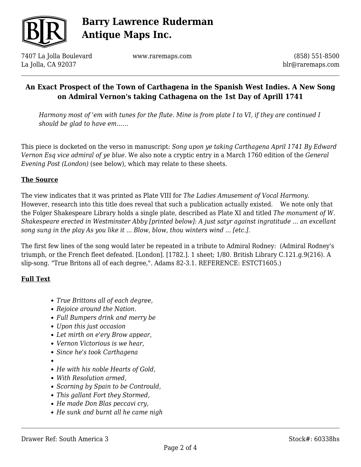

7407 La Jolla Boulevard La Jolla, CA 92037

www.raremaps.com

(858) 551-8500 blr@raremaps.com

## **An Exact Prospect of the Town of Carthagena in the Spanish West Indies. A New Song on Admiral Vernon's taking Cathagena on the 1st Day of Aprill 1741**

*Harmony most of 'em with tunes for the flute. Mine is from plate I to VI, if they are continued I should be glad to have em……*

This piece is docketed on the verso in manuscript: *Song upon ye taking Carthagena April 1741 By Edward Vernon Esq vice admiral of ye blue.* We also note a cryptic entry in a March 1760 edition of the *General Evening Post (London)* (see below), which may relate to these sheets.

#### **The Source**

The view indicates that it was printed as Plate VIII for *The Ladies Amusement of Vocal Harmony.*  However, research into this title does reveal that such a publication actually existed. We note only that the Folger Shakespeare Library holds a single plate, described as Plate XI and titled *The monument of W. Shakespeare erected in Westminster Abby [printed below]: A just satyr against ingratitude ... an excellant song sung in the play As you like it ... Blow, blow, thou winters wind ... [etc.].*

The first few lines of the song would later be repeated in a tribute to Admiral Rodney: (Admiral Rodney's triumph, or the French fleet defeated. [London]. [1782.]. 1 sheet; 1/80. British Library C.121.g.9(216). A slip-song. "True Britons all of each degree,". Adams 82-3.1. REFERENCE: ESTCT1605.)

### **Full Text**

- *True Brittons all of each degree,*
- *Rejoice around the Nation.*
- *Full Bumpers drink and merry be*
- *Upon this just occasion*
- *Let mirth on e'ery Brow appear,*
- *Vernon Victorious is we hear,*
- *Since he's took Carthagena*
- 
- *He with his noble Hearts of Gold,*
- *With Resolution armed,*
- *Scorning by Spain to be Contrould,*
- *This gallant Fort they Stormed,*
- *He made Don Blas peccavi cry,*
- *He sunk and burnt all he came nigh*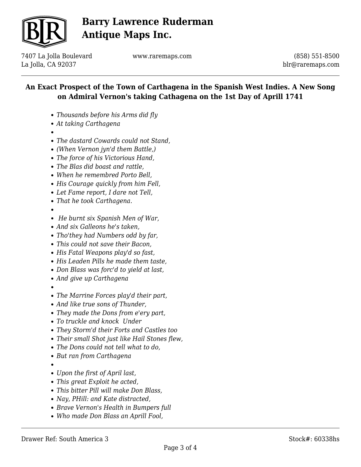

7407 La Jolla Boulevard La Jolla, CA 92037

www.raremaps.com

(858) 551-8500 blr@raremaps.com

## **An Exact Prospect of the Town of Carthagena in the Spanish West Indies. A New Song on Admiral Vernon's taking Cathagena on the 1st Day of Aprill 1741**

- *Thousands before his Arms did fly*
- *At taking Carthagena*
- 
- *The dastard Cowards could not Stand,*
- *(When Vernon jyn'd them Battle,)*
- *The force of his Victorious Hand,*
- *The Blas did boast and rattle,*
- *When he remembred Porto Bell,*
- *His Courage quickly from him Fell,*
- *Let Fame report, I dare not Tell,*
- *That he took Carthagena.*
- 
- *He burnt six Spanish Men of War,*
- *And six Galleons he's taken,*
- *Tho'they had Numbers odd by far,*
- *This could not save their Bacon,*
- *His Fatal Weapons play'd so fast,*
- *His Leaden Pills he made them taste,*
- *Don Blass was forc'd to yield at last,*
- *And give up Carthagena*
- 
- *The Marrine Forces play'd their part,*
- *And like true sons of Thunder,*
- *They made the Dons from e'ery part,*
- *To truckle and knock Under*
- *They Storm'd their Forts and Castles too*
- *Their small Shot just like Hail Stones flew,*
- *The Dons could not tell what to do,*
- *But ran from Carthagena*
- 
- *Upon the first of April last,*
- *This great Exploit he acted,*
- *This bitter Pill will make Don Blass,*
- *Nay, PHill: and Kate distracted,*
- *Brave Vernon's Health in Bumpers full*
- *Who made Don Blass an Aprill Fool,*